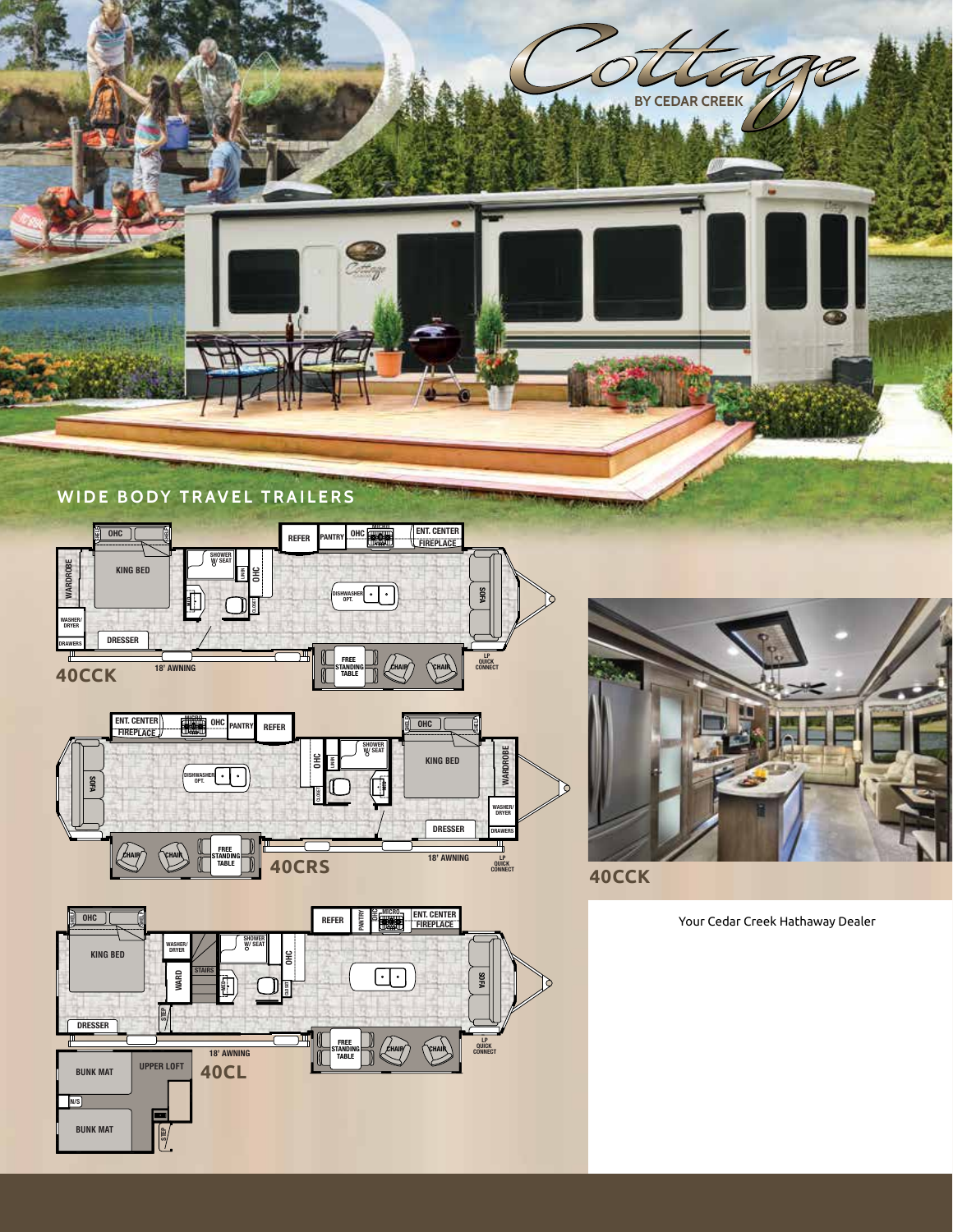





40CL



Your Cedar Creek Hathaway Dealer